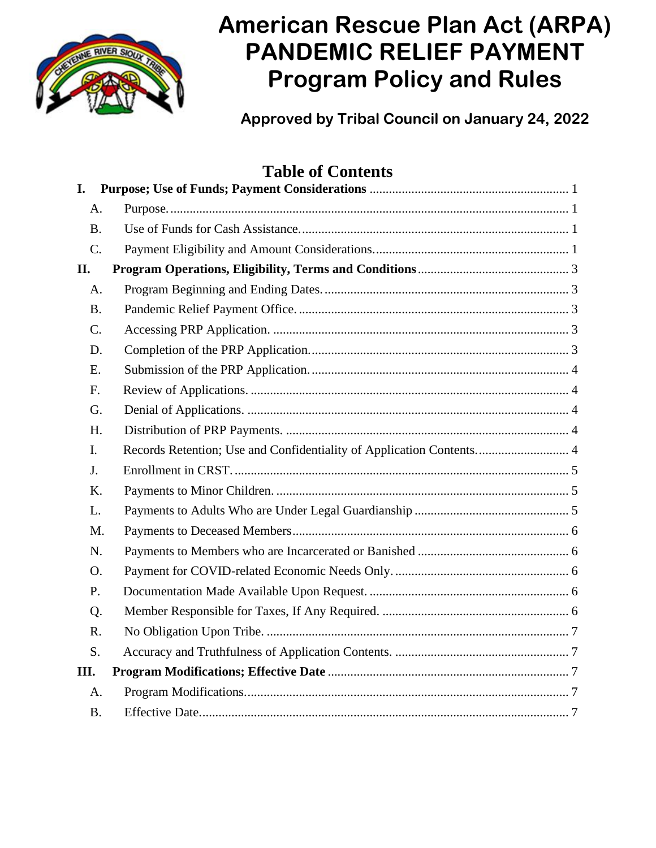

# **American Rescue Plan Act (ARPA) PANDEMIC RELIEF PAYMENT Program Policy and Rules**

**Approved by Tribal Council on January 24, 2022**

# **Table of Contents**

| I.          |                                                                      |
|-------------|----------------------------------------------------------------------|
| A.          |                                                                      |
| <b>B.</b>   |                                                                      |
| C.          |                                                                      |
| П.          |                                                                      |
| A.          |                                                                      |
| <b>B.</b>   |                                                                      |
| C.          |                                                                      |
| D.          |                                                                      |
| E.          |                                                                      |
| F.          |                                                                      |
| G.          |                                                                      |
| H.          |                                                                      |
| I.          | Records Retention; Use and Confidentiality of Application Contents 4 |
| J.          |                                                                      |
| K.          |                                                                      |
| L.          |                                                                      |
| M.          |                                                                      |
| N.          |                                                                      |
| O.          |                                                                      |
| P.          |                                                                      |
| Q.          |                                                                      |
| $R_{\cdot}$ |                                                                      |
| S.          |                                                                      |
| Ш.          |                                                                      |
| A.          |                                                                      |
| <b>B.</b>   |                                                                      |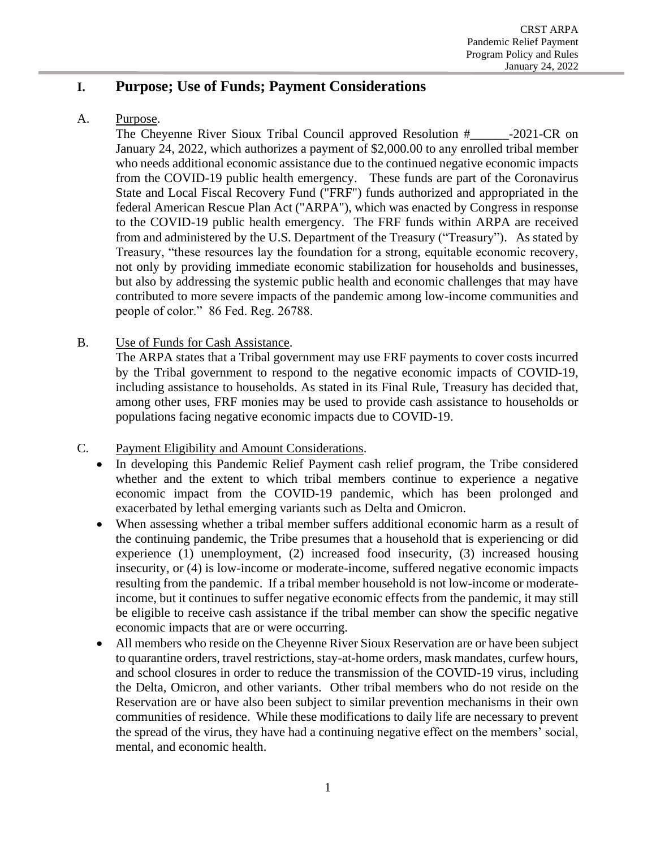# <span id="page-1-0"></span>**I. Purpose; Use of Funds; Payment Considerations**

<span id="page-1-1"></span>A. Purpose.

The Cheyenne River Sioux Tribal Council approved Resolution #\_\_\_\_\_\_-2021-CR on January 24, 2022, which authorizes a payment of \$2,000.00 to any enrolled tribal member who needs additional economic assistance due to the continued negative economic impacts from the COVID-19 public health emergency. These funds are part of the Coronavirus State and Local Fiscal Recovery Fund ("FRF") funds authorized and appropriated in the federal American Rescue Plan Act ("ARPA"), which was enacted by Congress in response to the COVID-19 public health emergency. The FRF funds within ARPA are received from and administered by the U.S. Department of the Treasury ("Treasury"). As stated by Treasury, "these resources lay the foundation for a strong, equitable economic recovery, not only by providing immediate economic stabilization for households and businesses, but also by addressing the systemic public health and economic challenges that may have contributed to more severe impacts of the pandemic among low-income communities and people of color." 86 Fed. Reg. 26788.

<span id="page-1-2"></span>B. Use of Funds for Cash Assistance.

The ARPA states that a Tribal government may use FRF payments to cover costs incurred by the Tribal government to respond to the negative economic impacts of COVID-19, including assistance to households. As stated in its Final Rule, Treasury has decided that, among other uses, FRF monies may be used to provide cash assistance to households or populations facing negative economic impacts due to COVID-19.

- <span id="page-1-3"></span>C. Payment Eligibility and Amount Considerations.
	- In developing this Pandemic Relief Payment cash relief program, the Tribe considered whether and the extent to which tribal members continue to experience a negative economic impact from the COVID-19 pandemic, which has been prolonged and exacerbated by lethal emerging variants such as Delta and Omicron.
	- When assessing whether a tribal member suffers additional economic harm as a result of the continuing pandemic, the Tribe presumes that a household that is experiencing or did experience (1) unemployment, (2) increased food insecurity, (3) increased housing insecurity, or (4) is low-income or moderate-income, suffered negative economic impacts resulting from the pandemic. If a tribal member household is not low-income or moderateincome, but it continues to suffer negative economic effects from the pandemic, it may still be eligible to receive cash assistance if the tribal member can show the specific negative economic impacts that are or were occurring.
	- All members who reside on the Cheyenne River Sioux Reservation are or have been subject to quarantine orders, travel restrictions, stay-at-home orders, mask mandates, curfew hours, and school closures in order to reduce the transmission of the COVID-19 virus, including the Delta, Omicron, and other variants. Other tribal members who do not reside on the Reservation are or have also been subject to similar prevention mechanisms in their own communities of residence. While these modifications to daily life are necessary to prevent the spread of the virus, they have had a continuing negative effect on the members' social, mental, and economic health.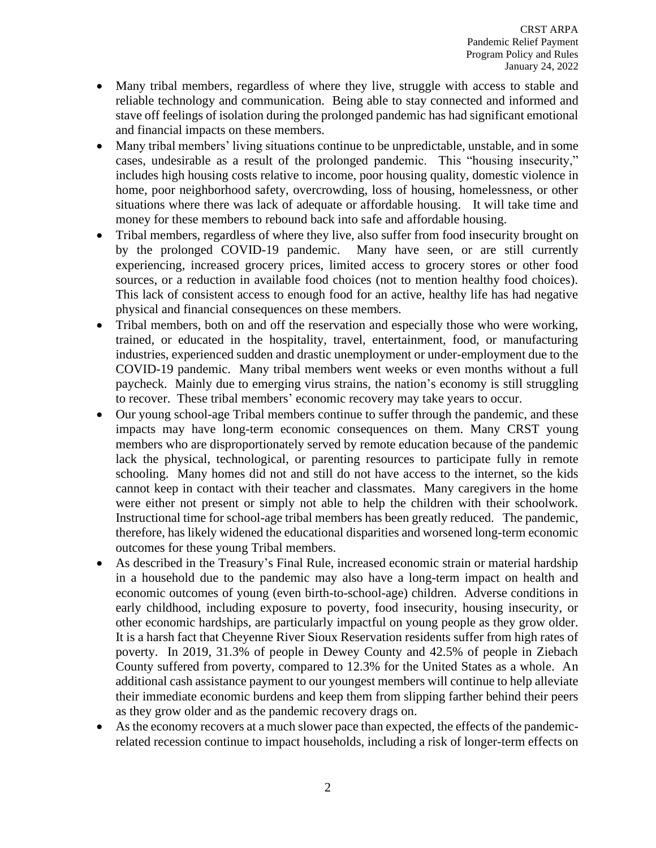- Many tribal members, regardless of where they live, struggle with access to stable and reliable technology and communication. Being able to stay connected and informed and stave off feelings of isolation during the prolonged pandemic has had significant emotional and financial impacts on these members.
- Many tribal members' living situations continue to be unpredictable, unstable, and in some cases, undesirable as a result of the prolonged pandemic. This "housing insecurity," includes high housing costs relative to income, poor housing quality, domestic violence in home, poor neighborhood safety, overcrowding, loss of housing, homelessness, or other situations where there was lack of adequate or affordable housing. It will take time and money for these members to rebound back into safe and affordable housing.
- Tribal members, regardless of where they live, also suffer from food insecurity brought on by the prolonged COVID-19 pandemic. Many have seen, or are still currently experiencing, increased grocery prices, limited access to grocery stores or other food sources, or a reduction in available food choices (not to mention healthy food choices). This lack of consistent access to enough food for an active, healthy life has had negative physical and financial consequences on these members.
- Tribal members, both on and off the reservation and especially those who were working, trained, or educated in the hospitality, travel, entertainment, food, or manufacturing industries, experienced sudden and drastic unemployment or under-employment due to the COVID-19 pandemic. Many tribal members went weeks or even months without a full paycheck. Mainly due to emerging virus strains, the nation's economy is still struggling to recover. These tribal members' economic recovery may take years to occur.
- Our young school-age Tribal members continue to suffer through the pandemic, and these impacts may have long-term economic consequences on them. Many CRST young members who are disproportionately served by remote education because of the pandemic lack the physical, technological, or parenting resources to participate fully in remote schooling. Many homes did not and still do not have access to the internet, so the kids cannot keep in contact with their teacher and classmates. Many caregivers in the home were either not present or simply not able to help the children with their schoolwork. Instructional time for school-age tribal members has been greatly reduced. The pandemic, therefore, has likely widened the educational disparities and worsened long-term economic outcomes for these young Tribal members.
- As described in the Treasury's Final Rule, increased economic strain or material hardship in a household due to the pandemic may also have a long-term impact on health and economic outcomes of young (even birth-to-school-age) children. Adverse conditions in early childhood, including exposure to poverty, food insecurity, housing insecurity, or other economic hardships, are particularly impactful on young people as they grow older. It is a harsh fact that Cheyenne River Sioux Reservation residents suffer from high rates of poverty. In 2019, 31.3% of people in Dewey County and 42.5% of people in Ziebach County suffered from poverty, compared to 12.3% for the United States as a whole. An additional cash assistance payment to our youngest members will continue to help alleviate their immediate economic burdens and keep them from slipping farther behind their peers as they grow older and as the pandemic recovery drags on.
- As the economy recovers at a much slower pace than expected, the effects of the pandemicrelated recession continue to impact households, including a risk of longer-term effects on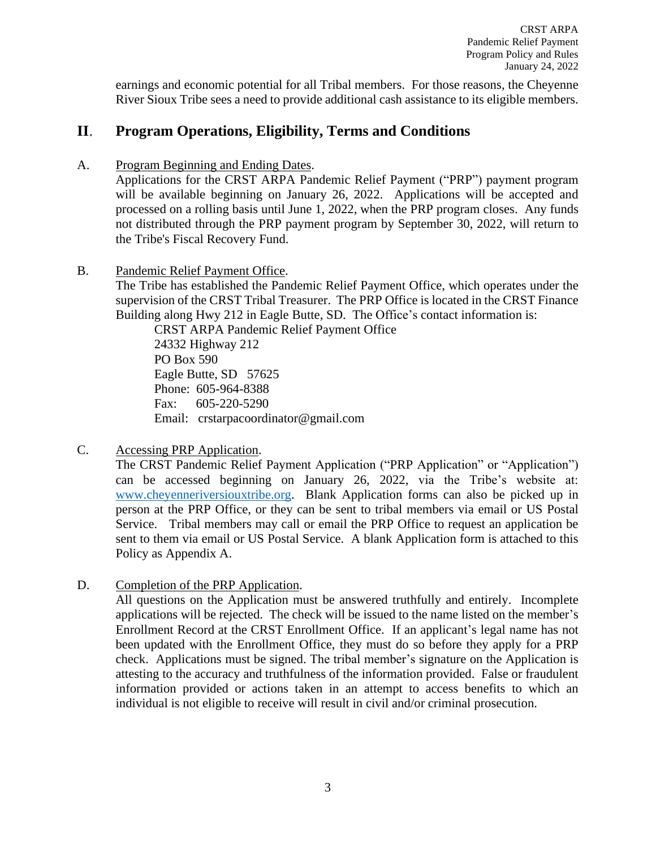CRST ARPA Pandemic Relief Payment Program Policy and Rules January 24, 2022

earnings and economic potential for all Tribal members. For those reasons, the Cheyenne River Sioux Tribe sees a need to provide additional cash assistance to its eligible members.

# <span id="page-3-0"></span>**II**. **Program Operations, Eligibility, Terms and Conditions**

<span id="page-3-1"></span>A. Program Beginning and Ending Dates.

Applications for the CRST ARPA Pandemic Relief Payment ("PRP") payment program will be available beginning on January 26, 2022. Applications will be accepted and processed on a rolling basis until June 1, 2022, when the PRP program closes. Any funds not distributed through the PRP payment program by September 30, 2022, will return to the Tribe's Fiscal Recovery Fund.

<span id="page-3-2"></span>B. Pandemic Relief Payment Office.

The Tribe has established the Pandemic Relief Payment Office, which operates under the supervision of the CRST Tribal Treasurer. The PRP Office is located in the CRST Finance Building along Hwy 212 in Eagle Butte, SD. The Office's contact information is:

CRST ARPA Pandemic Relief Payment Office 24332 Highway 212 PO Box 590 Eagle Butte, SD 57625 Phone: 605-964-8388 Fax: 605-220-5290 Email: crstarpacoordinator@gmail.com

<span id="page-3-3"></span>C. Accessing PRP Application.

The CRST Pandemic Relief Payment Application ("PRP Application" or "Application") can be accessed beginning on January 26, 2022, via the Tribe's website at: [www.cheyenneriversiouxtribe.org.](http://www.cheyenneriversiouxtribe.org/) Blank Application forms can also be picked up in person at the PRP Office, or they can be sent to tribal members via email or US Postal Service. Tribal members may call or email the PRP Office to request an application be sent to them via email or US Postal Service. A blank Application form is attached to this Policy as Appendix A.

<span id="page-3-4"></span>D. Completion of the PRP Application.

All questions on the Application must be answered truthfully and entirely. Incomplete applications will be rejected. The check will be issued to the name listed on the member's Enrollment Record at the CRST Enrollment Office. If an applicant's legal name has not been updated with the Enrollment Office, they must do so before they apply for a PRP check. Applications must be signed. The tribal member's signature on the Application is attesting to the accuracy and truthfulness of the information provided. False or fraudulent information provided or actions taken in an attempt to access benefits to which an individual is not eligible to receive will result in civil and/or criminal prosecution.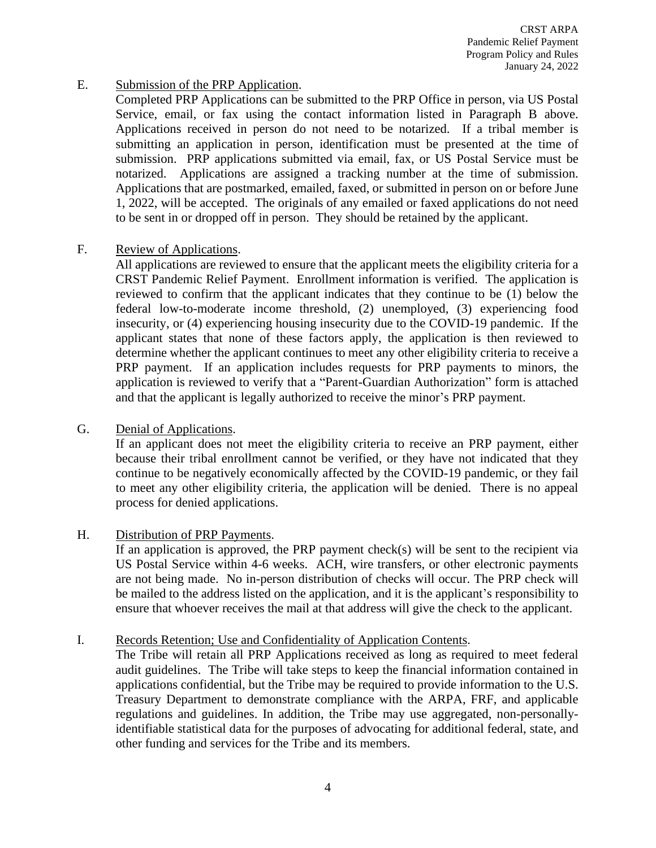CRST ARPA Pandemic Relief Payment Program Policy and Rules January 24, 2022

# <span id="page-4-0"></span>E. Submission of the PRP Application.

Completed PRP Applications can be submitted to the PRP Office in person, via US Postal Service, email, or fax using the contact information listed in Paragraph B above. Applications received in person do not need to be notarized. If a tribal member is submitting an application in person, identification must be presented at the time of submission. PRP applications submitted via email, fax, or US Postal Service must be notarized. Applications are assigned a tracking number at the time of submission. Applications that are postmarked, emailed, faxed, or submitted in person on or before June 1, 2022, will be accepted. The originals of any emailed or faxed applications do not need to be sent in or dropped off in person. They should be retained by the applicant.

# <span id="page-4-1"></span>F. Review of Applications.

All applications are reviewed to ensure that the applicant meets the eligibility criteria for a CRST Pandemic Relief Payment. Enrollment information is verified. The application is reviewed to confirm that the applicant indicates that they continue to be (1) below the federal low-to-moderate income threshold, (2) unemployed, (3) experiencing food insecurity, or (4) experiencing housing insecurity due to the COVID-19 pandemic. If the applicant states that none of these factors apply, the application is then reviewed to determine whether the applicant continues to meet any other eligibility criteria to receive a PRP payment. If an application includes requests for PRP payments to minors, the application is reviewed to verify that a "Parent-Guardian Authorization" form is attached and that the applicant is legally authorized to receive the minor's PRP payment.

### <span id="page-4-2"></span>G. Denial of Applications.

If an applicant does not meet the eligibility criteria to receive an PRP payment, either because their tribal enrollment cannot be verified, or they have not indicated that they continue to be negatively economically affected by the COVID-19 pandemic, or they fail to meet any other eligibility criteria, the application will be denied. There is no appeal process for denied applications.

### <span id="page-4-3"></span>H. Distribution of PRP Payments.

If an application is approved, the PRP payment check(s) will be sent to the recipient via US Postal Service within 4-6 weeks. ACH, wire transfers, or other electronic payments are not being made. No in-person distribution of checks will occur. The PRP check will be mailed to the address listed on the application, and it is the applicant's responsibility to ensure that whoever receives the mail at that address will give the check to the applicant.

### <span id="page-4-4"></span>I. Records Retention; Use and Confidentiality of Application Contents.

The Tribe will retain all PRP Applications received as long as required to meet federal audit guidelines. The Tribe will take steps to keep the financial information contained in applications confidential, but the Tribe may be required to provide information to the U.S. Treasury Department to demonstrate compliance with the ARPA, FRF, and applicable regulations and guidelines. In addition, the Tribe may use aggregated, non-personallyidentifiable statistical data for the purposes of advocating for additional federal, state, and other funding and services for the Tribe and its members.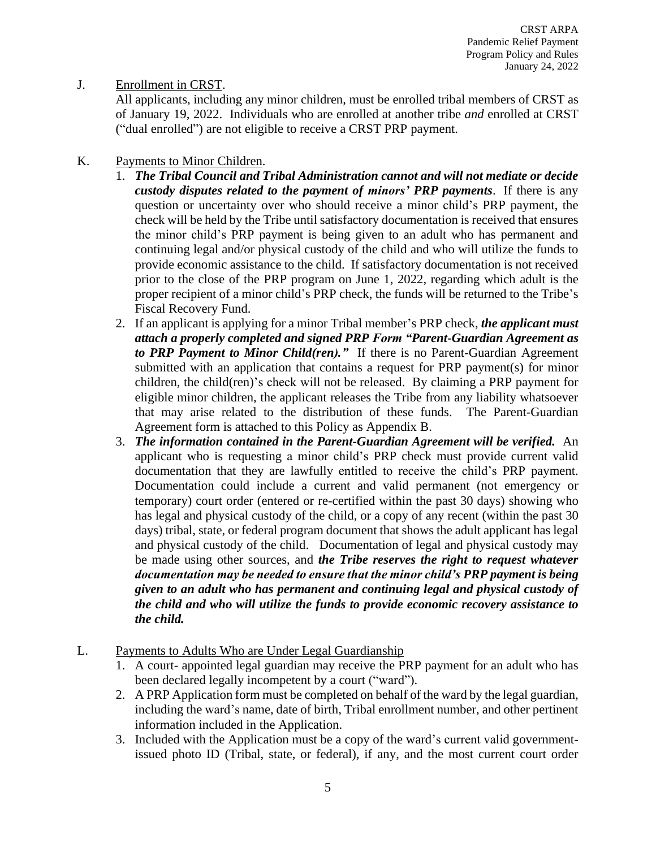# <span id="page-5-0"></span>J. Enrollment in CRST.

All applicants, including any minor children, must be enrolled tribal members of CRST as of January 19, 2022. Individuals who are enrolled at another tribe *and* enrolled at CRST ("dual enrolled") are not eligible to receive a CRST PRP payment.

# <span id="page-5-1"></span>K. Payments to Minor Children.

- 1. *The Tribal Council and Tribal Administration cannot and will not mediate or decide custody disputes related to the payment of minors' PRP payments*. If there is any question or uncertainty over who should receive a minor child's PRP payment, the check will be held by the Tribe until satisfactory documentation is received that ensures the minor child's PRP payment is being given to an adult who has permanent and continuing legal and/or physical custody of the child and who will utilize the funds to provide economic assistance to the child. If satisfactory documentation is not received prior to the close of the PRP program on June 1, 2022, regarding which adult is the proper recipient of a minor child's PRP check, the funds will be returned to the Tribe's Fiscal Recovery Fund.
- 2. If an applicant is applying for a minor Tribal member's PRP check, *the applicant must attach a properly completed and signed PRP Form "Parent-Guardian Agreement as to PRP Payment to Minor Child(ren)."* If there is no Parent-Guardian Agreement submitted with an application that contains a request for PRP payment(s) for minor children, the child(ren)'s check will not be released. By claiming a PRP payment for eligible minor children, the applicant releases the Tribe from any liability whatsoever that may arise related to the distribution of these funds. The Parent-Guardian Agreement form is attached to this Policy as Appendix B.
- 3. *The information contained in the Parent-Guardian Agreement will be verified.* An applicant who is requesting a minor child's PRP check must provide current valid documentation that they are lawfully entitled to receive the child's PRP payment. Documentation could include a current and valid permanent (not emergency or temporary) court order (entered or re-certified within the past 30 days) showing who has legal and physical custody of the child, or a copy of any recent (within the past 30 days) tribal, state, or federal program document that shows the adult applicant has legal and physical custody of the child. Documentation of legal and physical custody may be made using other sources, and *the Tribe reserves the right to request whatever documentation may be needed to ensure that the minor child's PRP payment is being given to an adult who has permanent and continuing legal and physical custody of the child and who will utilize the funds to provide economic recovery assistance to the child.*
- <span id="page-5-2"></span>L. Payments to Adults Who are Under Legal Guardianship
	- 1. A court- appointed legal guardian may receive the PRP payment for an adult who has been declared legally incompetent by a court ("ward").
	- 2. A PRP Application form must be completed on behalf of the ward by the legal guardian, including the ward's name, date of birth, Tribal enrollment number, and other pertinent information included in the Application.
	- 3. Included with the Application must be a copy of the ward's current valid governmentissued photo ID (Tribal, state, or federal), if any, and the most current court order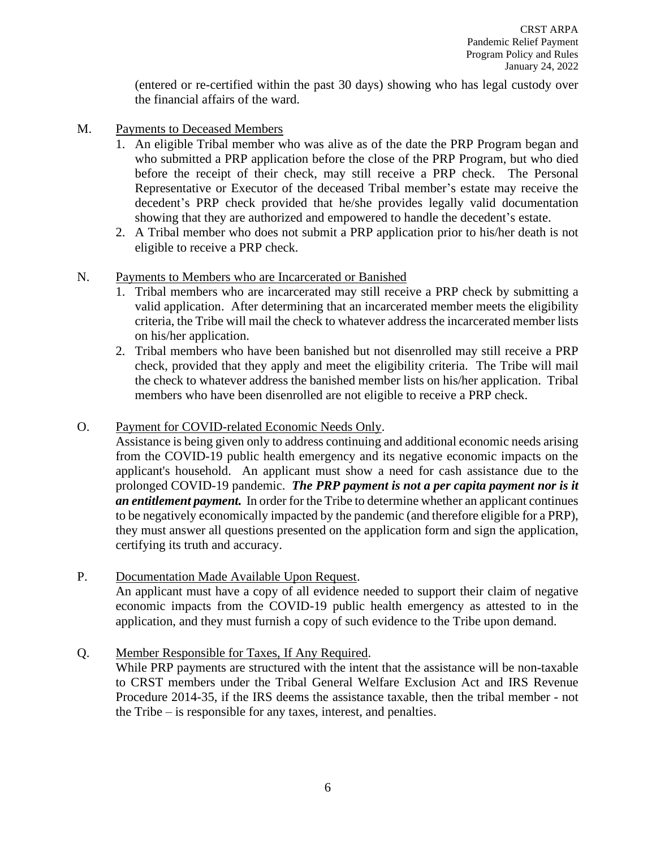(entered or re-certified within the past 30 days) showing who has legal custody over the financial affairs of the ward.

- <span id="page-6-0"></span>M. Payments to Deceased Members
	- 1. An eligible Tribal member who was alive as of the date the PRP Program began and who submitted a PRP application before the close of the PRP Program, but who died before the receipt of their check, may still receive a PRP check. The Personal Representative or Executor of the deceased Tribal member's estate may receive the decedent's PRP check provided that he/she provides legally valid documentation showing that they are authorized and empowered to handle the decedent's estate.
	- 2. A Tribal member who does not submit a PRP application prior to his/her death is not eligible to receive a PRP check.

### <span id="page-6-1"></span>N. Payments to Members who are Incarcerated or Banished

- 1. Tribal members who are incarcerated may still receive a PRP check by submitting a valid application. After determining that an incarcerated member meets the eligibility criteria, the Tribe will mail the check to whatever address the incarcerated member lists on his/her application.
- 2. Tribal members who have been banished but not disenrolled may still receive a PRP check, provided that they apply and meet the eligibility criteria. The Tribe will mail the check to whatever address the banished member lists on his/her application. Tribal members who have been disenrolled are not eligible to receive a PRP check.

#### <span id="page-6-2"></span>O. Payment for COVID-related Economic Needs Only.

Assistance is being given only to address continuing and additional economic needs arising from the COVID-19 public health emergency and its negative economic impacts on the applicant's household. An applicant must show a need for cash assistance due to the prolonged COVID-19 pandemic. *The PRP payment is not a per capita payment nor is it an entitlement payment.* In order for the Tribe to determine whether an applicant continues to be negatively economically impacted by the pandemic (and therefore eligible for a PRP), they must answer all questions presented on the application form and sign the application, certifying its truth and accuracy.

#### <span id="page-6-3"></span>P. Documentation Made Available Upon Request.

An applicant must have a copy of all evidence needed to support their claim of negative economic impacts from the COVID-19 public health emergency as attested to in the application, and they must furnish a copy of such evidence to the Tribe upon demand.

### <span id="page-6-4"></span>Q. Member Responsible for Taxes, If Any Required.

While PRP payments are structured with the intent that the assistance will be non-taxable to CRST members under the Tribal General Welfare Exclusion Act and IRS Revenue Procedure 2014-35, if the IRS deems the assistance taxable, then the tribal member - not the Tribe – is responsible for any taxes, interest, and penalties.